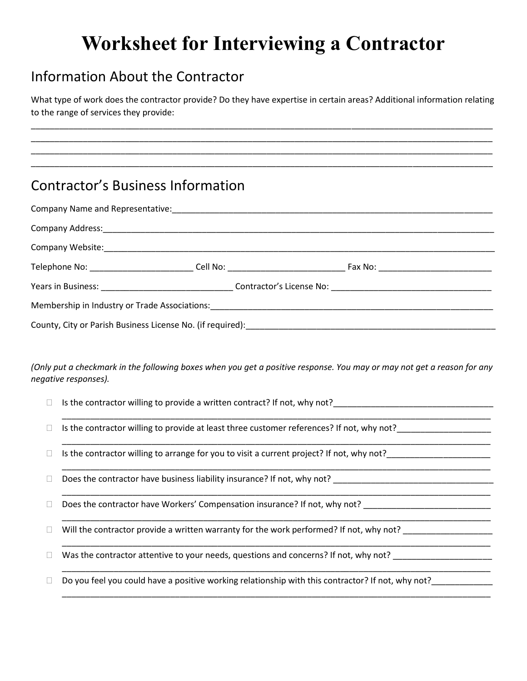## **Worksheet for Interviewing a Contractor**

## Information About the Contractor

What type of work does the contractor provide? Do they have expertise in certain areas? Additional information relating to the range of services they provide:

\_\_\_\_\_\_\_\_\_\_\_\_\_\_\_\_\_\_\_\_\_\_\_\_\_\_\_\_\_\_\_\_\_\_\_\_\_\_\_\_\_\_\_\_\_\_\_\_\_\_\_\_\_\_\_\_\_\_\_\_\_\_\_\_\_\_\_\_\_\_\_\_\_\_\_\_\_\_\_\_\_\_\_\_\_\_\_\_\_\_\_\_\_\_\_\_\_\_ \_\_\_\_\_\_\_\_\_\_\_\_\_\_\_\_\_\_\_\_\_\_\_\_\_\_\_\_\_\_\_\_\_\_\_\_\_\_\_\_\_\_\_\_\_\_\_\_\_\_\_\_\_\_\_\_\_\_\_\_\_\_\_\_\_\_\_\_\_\_\_\_\_\_\_\_\_\_\_\_\_\_\_\_\_\_\_\_\_\_\_\_\_\_\_\_\_\_ \_\_\_\_\_\_\_\_\_\_\_\_\_\_\_\_\_\_\_\_\_\_\_\_\_\_\_\_\_\_\_\_\_\_\_\_\_\_\_\_\_\_\_\_\_\_\_\_\_\_\_\_\_\_\_\_\_\_\_\_\_\_\_\_\_\_\_\_\_\_\_\_\_\_\_\_\_\_\_\_\_\_\_\_\_\_\_\_\_\_\_\_\_\_\_\_\_\_ \_\_\_\_\_\_\_\_\_\_\_\_\_\_\_\_\_\_\_\_\_\_\_\_\_\_\_\_\_\_\_\_\_\_\_\_\_\_\_\_\_\_\_\_\_\_\_\_\_\_\_\_\_\_\_\_\_\_\_\_\_\_\_\_\_\_\_\_\_\_\_\_\_\_\_\_\_\_\_\_\_\_\_\_\_\_\_\_\_\_\_\_\_\_\_\_\_\_

## Contractor's Business Information

| Company Name and Representative: Manual According to the According Company Name and Representative:      |  |  |
|----------------------------------------------------------------------------------------------------------|--|--|
|                                                                                                          |  |  |
|                                                                                                          |  |  |
|                                                                                                          |  |  |
| Years in Business: 1990 Married Marcoscope Contractor's License No: 2008 Marcoscope 2014 Marcoscope 2014 |  |  |
|                                                                                                          |  |  |
|                                                                                                          |  |  |

*(Only put a checkmark in the following boxes when you get a positive response. You may or may not get a reason for any negative responses).*

\_\_\_\_\_\_\_\_\_\_\_\_\_\_\_\_\_\_\_\_\_\_\_\_\_\_\_\_\_\_\_\_\_\_\_\_\_\_\_\_\_\_\_\_\_\_\_\_\_\_\_\_\_\_\_\_\_\_\_\_\_\_\_\_\_\_\_\_\_\_\_\_\_\_\_\_\_\_\_\_\_\_\_\_\_\_\_\_\_\_\_

\_\_\_\_\_\_\_\_\_\_\_\_\_\_\_\_\_\_\_\_\_\_\_\_\_\_\_\_\_\_\_\_\_\_\_\_\_\_\_\_\_\_\_\_\_\_\_\_\_\_\_\_\_\_\_\_\_\_\_\_\_\_\_\_\_\_\_\_\_\_\_\_\_\_\_\_\_\_\_\_\_\_\_\_\_\_\_\_\_\_\_

\_\_\_\_\_\_\_\_\_\_\_\_\_\_\_\_\_\_\_\_\_\_\_\_\_\_\_\_\_\_\_\_\_\_\_\_\_\_\_\_\_\_\_\_\_\_\_\_\_\_\_\_\_\_\_\_\_\_\_\_\_\_\_\_\_\_\_\_\_\_\_\_\_\_\_\_\_\_\_\_\_\_\_\_\_\_\_\_\_\_\_

\_\_\_\_\_\_\_\_\_\_\_\_\_\_\_\_\_\_\_\_\_\_\_\_\_\_\_\_\_\_\_\_\_\_\_\_\_\_\_\_\_\_\_\_\_\_\_\_\_\_\_\_\_\_\_\_\_\_\_\_\_\_\_\_\_\_\_\_\_\_\_\_\_\_\_\_\_\_\_\_\_\_\_\_\_\_\_\_\_\_\_

\_\_\_\_\_\_\_\_\_\_\_\_\_\_\_\_\_\_\_\_\_\_\_\_\_\_\_\_\_\_\_\_\_\_\_\_\_\_\_\_\_\_\_\_\_\_\_\_\_\_\_\_\_\_\_\_\_\_\_\_\_\_\_\_\_\_\_\_\_\_\_\_\_\_\_\_\_\_\_\_\_\_\_\_\_\_\_\_\_\_\_

\_\_\_\_\_\_\_\_\_\_\_\_\_\_\_\_\_\_\_\_\_\_\_\_\_\_\_\_\_\_\_\_\_\_\_\_\_\_\_\_\_\_\_\_\_\_\_\_\_\_\_\_\_\_\_\_\_\_\_\_\_\_\_\_\_\_\_\_\_\_\_\_\_\_\_\_\_\_\_\_\_\_\_\_\_\_\_\_\_\_\_

\_\_\_\_\_\_\_\_\_\_\_\_\_\_\_\_\_\_\_\_\_\_\_\_\_\_\_\_\_\_\_\_\_\_\_\_\_\_\_\_\_\_\_\_\_\_\_\_\_\_\_\_\_\_\_\_\_\_\_\_\_\_\_\_\_\_\_\_\_\_\_\_\_\_\_\_\_\_\_\_\_\_\_\_\_\_\_\_\_\_\_

\_\_\_\_\_\_\_\_\_\_\_\_\_\_\_\_\_\_\_\_\_\_\_\_\_\_\_\_\_\_\_\_\_\_\_\_\_\_\_\_\_\_\_\_\_\_\_\_\_\_\_\_\_\_\_\_\_\_\_\_\_\_\_\_\_\_\_\_\_\_\_\_\_\_\_\_\_\_\_\_\_\_\_\_\_\_\_\_\_\_\_

- $\Box$  Is the contractor willing to provide a written contract? If not, why not?
- $\Box$  Is the contractor willing to provide at least three customer references? If not, why not?
- $\Box$  Is the contractor willing to arrange for you to visit a current project? If not, why not?
- $\Box$  Does the contractor have business liability insurance? If not, why not?
- Does the contractor have Workers' Compensation insurance? If not, why not? \_\_\_\_\_\_\_\_\_\_\_\_\_\_\_\_\_\_\_\_\_\_\_\_\_\_\_\_\_\_\_\_\_\_\_
- $\Box$  Will the contractor provide a written warranty for the work performed? If not, why not?
- $\Box$  Was the contractor attentive to your needs, questions and concerns? If not, why not?
- $\square$  Do you feel you could have a positive working relationship with this contractor? If not, why not?